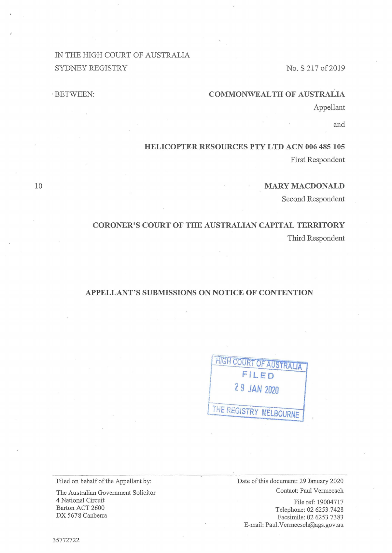# IN THE HIGH COURT OF AUSTRALIA SYDNEY REGISTRY

# No. S 217 of 2019

## **COMMONWEALTH OF AUSTRALIA**

Appellant

and

## **HELICOPTER RESOURCES PTY LTD ACN 006 485 105**

First Respondent

## **MARY MACDONALD**

Second Respondent

# **CORONER'S COURT OF THE AUSTRALIAN CAPITAL TERRITORY**  Third Respondent

# **APPELLANT'S SUBMISSIONS ON NOTICE OF CONTENTION**

| <b>HIGH COURT OF AUSTRALIA</b> |
|--------------------------------|
| FILED                          |
| 29 JAN 2020                    |
|                                |
| THE REGISTRY MELBOURNE         |
|                                |

Filed on behalf of the Appellant by:

The Australian Government Solicitor 4 National Circuit Barton ACT 2600 DX 5678 Canberra

Date of this document: 29 January 2020 Contact: Paul Vermeesch

File ref: 19004717 Telephone: 02 6253 7428 Facsimile: 02 6253 7383 E-mail: Paul.Vermeesch@ags.gov.au

10

·BETWEEN: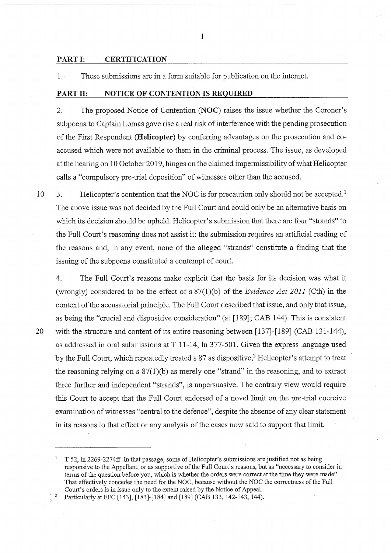#### **PART I: CERTIFICATION**

1. These submissions are in a form suitable for publication on the internet.

#### **PART II: NOTICE OF CONTENTION IS REQUIRED**

2. The proposed Notice of Contention **(NOC)** raises the issue whether the Coroner's subpoena to Captain Lomas gave rise a real risk of interference with the pending prosecution of the First Respondent **(Helicopter)** by conferring advantages on the prosecution and coaccused which were not available to them in the criminal process. The issue, as developed at the hearing on 10 October 2019, hinges on the claimed impermissibility of what Helicopter calls a "compulsory pre-trial deposition" of witnesses other than the accused·.

10 3. Helicopter's contention that the NOC is for precaution only should not be accepted.<sup>1</sup> The above issue was not decided by the Full Court and could only be an alternative basis on which its decision should be upheld. Helicopter's submission that there are four "strands" to the Full Court's reasoning does not assist it: the submission requires an artificial reading of the reasons and, in any event, none of the alleged "strands" constitute a finding that the issuing of the subpoena constituted a contempt of court.

4. The Full Court's reasons make explicit that the basis for its decision was what it (wrongly) considered to be the effect of s 87(l)(b) of the *Evidence Act 2011* (Cth) in the context of the accusatorial principle. The Full Court described that issue, and only that issue, as being the "crucial and dispositive consideration" (at [189]; CAB 144). This is consistent 20 with the structure and content of its entire reasoning between [137]-[189] (CAB 131-144), as addressed in oral submissions at T 11-14, ln 377-501. Given the express language used by the Full Court, which repeatedly treated s 87 as dispositive,<sup>2</sup> Helicopter's attempt to treat the reasoning relying on  $s \frac{87(1)}{b}$  as merely one "strand" in the reasoning, and to extract three further and independent "strands", is unpersuasive. The contrary view would require this Court to accept that the Full Court endorsed of a novel limit on the pre-trial coercive examination of witnesses "central to the defence", despite the absence of any clear statement in its reasons to that effect or any analysis of the cases now said to support that limit.

1 T 52, In 2269-2274ff. In that passage, some of Helicopter's submissions are justified not as being responsive to the Appellant, or as supportive of the Full Court's reasons, but as "necessary to consider in terms of the question before you, which is whether the orders were correct at the time they were made". That effectively concedes the need for the NOC, because without the NOC the correctness of the Full Court's orders is in issue only to the extent raised by the Notice of Appeal.

<sup>2</sup> Particularly at FFC [143], [183]-[184] and [189] (CAB 133, 142-143, 144).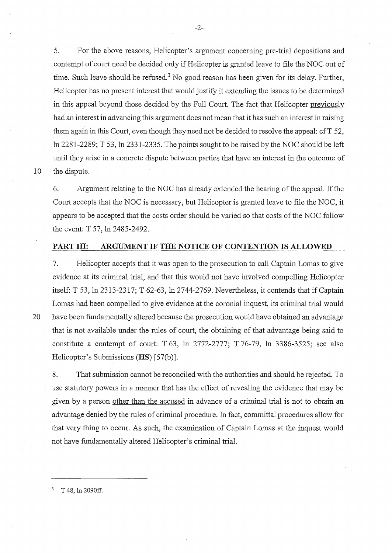5. For the above reasons, Helicopter's argument concerning pre-trial depositions and contempt of court need be decided only if Helicopter is granted leave to file the NOC out of time. Such leave should be refused.<sup>3</sup> No good reason has been given for its delay. Further, Helicopter has no present interest that would justify it extending the issues to be determined in this appeal beyond those decided by the Full Court. The fact that Helicopter previously had an interest in advancing this argument does not mean that it has such an interest in raising them again in this Court, even though they need not be decided to resolve the appeal: cfT 52, ln 2281-2289; T 53, ln 2331-2335. The points sought to be raised by the NOC should be left until they arise in a concrete dispute between parties that have an interest in the outcome of 10 the dispute.

6. Argument relating to the NOC has already extended the hearing of the appeal. If the Court accepts that the NOC is necessary, but Helicopter is granted leave to file the NOC, it appears to be accepted that the costs order should be varied so that costs of the NOC follow the event: T 57, ln 2485-2492.

### **PART III: ARGUMENT IF THE NOTICE OF CONTENTION IS ALLOWED**

7. Helicopter accepts that it was open to the prosecution to call Captain Lomas to give evidence at its criminal trial, and that this would not have involved compelling Helicopter itself: T 53, ln 2313-2317; T 62-63, ln 2744-2769. Nevertheless, it contends that if Captain Lomas had been compelled to give evidence at the coronial inquest, its criminal trial would 20 have been fundamentally altered because the prosecution would have obtained an advantage that is not available under the rules of court, the obtaining of that advantage being said to constitute a contempt of court: T 63, ln 2772-2777; T 76-79, 1n 3386-3525; see also Helicopter's Submissions **(HS)** [57(b)].

8. That submission cannot be reconciled with the authorities and should be rejected. To use statutory powers in a manner that has the effect of revealing the evidence that may be given by a person other than the accused in· advance of a criminal trial is not to obtain an advantage denied by the rules of criminal procedure. In fact, committal procedures allow for that very thing to occur. As such, the examination of Captain Lomas at the inquest would not have fundamentally altered Helicopter's criminal trial.

-2-

 $3$  T 48, In 2090ff.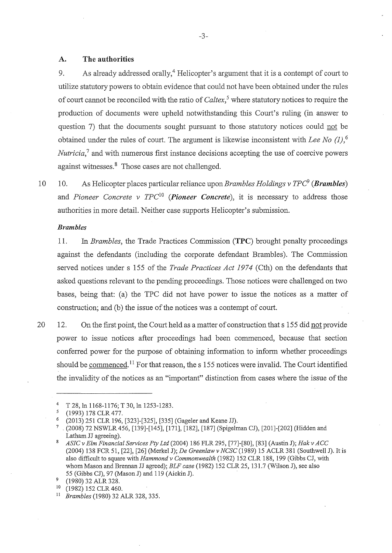### **A. The authorities**

9. As already addressed orally,  $4$  Helicopter's argument that it is a contempt of court to utilize statutory powers to obtain evidence that could not have been obtained under the rules of court cannot be reconciled with the ratio of *Caltex,* <sup>5</sup>where statutory notices to require the production of documents were upheld notwithstanding this Court's ruling (in answer to question 7) that the documents sought pursuant to those statutory notices could not be obtained under the rules of court. The argument is likewise inconsistent with *Lee No (1),* <sup>6</sup> *Nutricia*,<sup>7</sup> and with numerous first instance decisions accepting the use of coercive powers against witnesses.<sup>8</sup> Those cases are not challenged.

10 10. As Helicopter places particular reliance upon *Brambles Holdings v TPC (Brambles)*  and *Pioneer Concrete v TPC*<sup>10</sup>*(Pioneer Concrete),* it is necessary to address those authorities in more detail. Neither case supports Helicopter's submission.

#### *Brambles*

11. In *Brambles,* the Trade Practices Commission **(TPC)** brought penalty proceedings against the defendants (including the corporate defendant Brambles). The Commission served notices under s 155 of the *Trade Practices Act 1974* (Cth) on the defendants that asked questions relevant to the pending proceedings. Those notices were challenged on two bases, being that: (a) the TPC did not have power to issue the notices as a matter of construction; and (b) the issue of the notices was a contempt of court.

20 12. On the first point, the Court held as a matter of construction that s 155 did not provide power to issue notices after proceedings had been commenced, because that section conferred power for the purpose of obtaining information to inform whether proceedings should be commenced.<sup>11</sup> For that reason, the s 155 notices were invalid. The Court identified the invalidity of the notices as an "important" distinction from cases where the issue of the

<sup>4</sup> T 28, ln 1168-1176; T 30, ln 1253-1283.<br>5 (1993) 178 CLR 477.<br>6 (2013) 251 CLB 106 [323] [325] [325]

<sup>6</sup>(2013) 251 CLR 196, [323]-[325], [335] (Gageler and Keane JJ).

<sup>7 .</sup> (2008) 72 NSWLR 456, [139]-[145], [171], [182], [187] (Spigelman CJ), [201]-[202] (Hidden and Latham JJ agreeing).

<sup>8</sup>*ASICv Elm Financial Services Pty Ltd* (2004) 186 FLR 295, [77]-[80], [83] (Austin J); *Hakv ACC*  (2004) 138 FCR 51, [22], [26] (Merkel J); *De Greenlaw v NCSC* (1989) 15 ACLR 381 (Southwell J). It is also difficult to square with *Hammond v Commonwealth* (1982) 152 CLR 188, 199 (Gibbs CJ, with whom Mason and Brennan JJ agreed); *ELF case* (1982) 152 CLR 25, 131.7 (Wilson J), see also 55 (Gibbs CJ), 97 (Mason J) and 119 (Aickin J).<br><sup>9</sup> (1980) 32 ALR 328.<br><sup>10</sup> (1982) 152 CLB 460

<sup>10 (1982) 152</sup> CLR 460.

<sup>11</sup> *Brambles* (1980) 32 ALR 328, 335.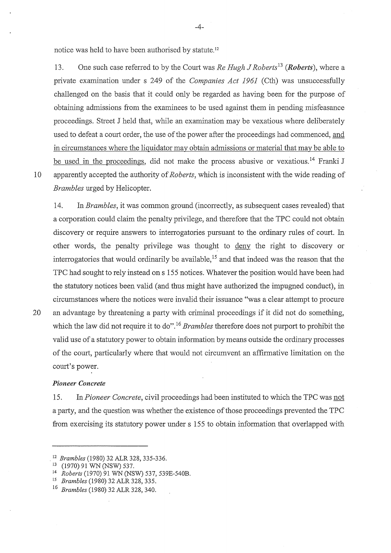notice was held to have been authorised by statute. <sup>12</sup>

13. One such case referred to by the Court was *Re Hugh J Roberts*<sup>13</sup> (*Roberts*), where a private examination under s 249 of the *Companies Act 1961* (Cth) was unsuccessfully challenged on the basis that it could only be regarded as having been for the purpose of obtaining admissions from the examinees to be used against them in pending misfeasance proceedings. Street J held that, while an examination may be vexatious where deliberately used to defeat a court order, the use of the power after the proceedings had commenced, and in circumstances where the liquidator may obtain admissions or material that may be able to be used in the proceedings, did not make the process abusive or vexatious.<sup>14</sup> Franki J 10 apparently accepted the authority of *Roberts,* which is inconsistent with the wide reading of *Brambles* urged by Helicopter.

14. In *Brambles,* it was common ground (incorrectly, as subsequent cases revealed) that a corporation could claim the penalty privilege, and therefore that the TPC could not obtain discovery or require answers to interrogatories pursuant to the ordinary rules of court. In other words, the penalty privilege was thought to deny the right to discovery or interrogatories that would ordinarily be available,  $^{15}$  and that indeed was the reason that the TPC had sought to rely instead ons 155 notices. Whatever the position would have been had the statutory notices been valid (and thus might have authorized the impugned conduct), in circumstances where the notices were invalid their issuance "was a clear attempt to procure

20 an advantage by threatening a party with criminal proceedings if it did not do something, which the law did not require it to do".<sup>16</sup> *Brambles* therefore does not purport to prohibit the valid use of a statutory power to obtain information by means outside the ordinary processes of the court, particularly where that would not circumvent an affirmative limitation on the court's power.

#### *Pioneer Concrete*

15. In *Pioneer Concrete,* civil proceedings had been instituted to which the TPC was not a party, and the question was whether the existence of those proceedings prevented the TPC from exercising its statutory power under s 155 to obtain information that overlapped with

<sup>.</sup> <sup>12</sup>*Brambles* (1980) 32 ALR 328, 335-336. 13 (1970) 91 WN (NSW) 537. 14 *Roberts* (1970) 91 WN (NSW) 537, 539E-540B. 15 *Brambles* (1980) 32 ALR 328, 335.

<sup>16</sup>*Brambles* (1980) 32 ALR 328, 340.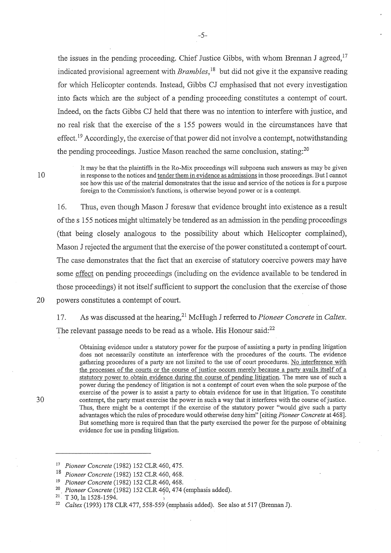the issues in the pending proceeding. Chief Justice Gibbs, with whom Brennan J agreed,  $17$ indicated provisional agreement with *Brambles,* 18 but did not give it the expansive reading for which Helicopter contends. Instead, Gibbs CJ emphasised that not every investigation into facts which are the subject of a pending proceeding constitutes a contempt of court. Indeed, on the facts Gibbs CJ held that there was no intention to interfere with justice, and no real risk that the exercise of the s 155 powers would in the circumstances have that effect.<sup>19</sup> Accordingly, the exercise of that power did not involve a contempt, notwithstanding the pending proceedings. Justice Mason reached the same conclusion, stating:<sup>20</sup>

10

30

It may be that the plaintiffs in the Ro-Mix proceedings will subpoena such answers as may be given in response to the notices and tender them in evidence as admissions in those proceedings. But I cannot see how this use of the material demonstrates that the issue and service of the notices is for a purpose foreign to the Commission's functions, is otherwise beyond power or is a contempt.

16. Thus, even though Mason J foresaw that evidence brought into existence as a result of the s 155 notices might ultimately be tendered as an admission in the pending proceedings (that being closely analogous to the possibility about which Helicopter complained), Mason J rejected the argument that the exercise of the power constituted a contempt of court. The case demonstrates that the fact that an exercise of statutory coercive powers may have some effect on pending proceedings (including on the evidence available to be tendered in those proceedings) it not itself sufficient to support the conclusion that the exercise of those

20 powers constitutes a contempt of court.

1 7. As was discussed at the hearing, 21 McHugh J referred to *Pioneer Concrete* in *Caltex.*  The relevant passage needs to be read as a whole. His Honour said:<sup>22</sup>

Obtaining evidence under a statutory power for the purpose of assisting a party in pending litigation does not necessarily constitute an interference with the procedures of the courts. The evidence gathering procedures of a party are not limited to the use of court procedures. No interference with the processes of the courts or the course of justice occurs merely because a party avails itself of a statutory power to obtain evidence during the course of pending litigation. The mere use of such a power during the pendency of litigation is not a contempt of court even when the sole purpose of the exercise of the power is to assist a party to obtain evidence for use in that litigation. To constitute contempt, the party must exercise the power in such a way that it interferes with the course of justice. Thus, there might be a contempt if the exercise of the statutory power "would give such a party advantages which the rules of procedure would otherwise deny him" [ citing *Pioneer Concrete* at 468]. But something more is required than that the party exercised the power for the purpose of obtaining evidence for use in pending litigation.

<sup>17</sup>*Pioneer Concrete* (1982) 152 CLR 460, 475.

<sup>18</sup>*Pioneer Concrete* (1982) 152 CLR 460, 468.

<sup>&</sup>lt;sup>19</sup> Pioneer Concrete (1982) 152 CLR 460, 468.<br><sup>20</sup> *Pioneer Concrete* (1982) 152 CLR 460, 474 (emphasis added).<br><sup>21</sup> T 30, ln 1528-1594.

<sup>&</sup>lt;sup>22</sup> Caltex (1993) 178 CLR 477, 558-559 (emphasis added). See also at 517 (Brennan J).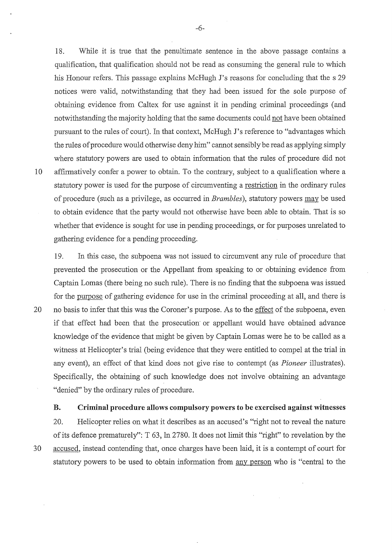18. Wbile it is true that the penultimate sentence in the above passage contains a qualification, that qualification should not be read as consuming the general rule to which his Honour refers. This passage explains McHugh J's reasons for concluding that the s 29 notices were valid, notwithstanding that they had been issued for the sole purpose of obtaining evidence from Caltex for use against it in pending criminal proceedings ( and notwithstanding the majority holding that the same documents could not have been obtained pursuant to the rules of court). In that context, McHugh J's reference to "advantages which the rules of procedure would otherwise deny him" cannot sensibly be read as applying simply where statutory powers are used to obtain information that the rules of procedure did not 10 affirmatively confer a power to obtain. To the contrary, subject to a qualification where a statutory power is used for the purpose of circumventing a restriction in the ordinary rules of procedure (such as a privilege, as occurred in *Brambles),* statutory powers may be used to obtain evidence that the party would not otherwise have been able to obtain. That is so whether that evidence is sought for use in pending proceedings, or for purposes unrelated to gathering evidence for a pending proceeding.

19. In this case, the subpoena was not issued to circumvent any rule of procedure that prevented the prosecution or the Appellant from speaking to or obtaining evidence from Captain Lomas (there being no such rule). There is no finding that the subpoena was issued for the purpose of gathering evidence for use in the criminal proceeding at all, and there is 20 no basis to infer that this was the Coroner's purpose. As to the effect of the subpoena, even if that effect had been that the prosecution or appellant would have obtained advance knowledge of the evidence that might be given by Captain Lomas were he to be called as a witness at Helicopter's trial (being evidence that they were entitled to compel at the trial in any event), an effect of that kind does not give rise to contempt (as *Pioneer* illustrates). Specifically, the obtaining of such knowledge does not involve obtaining an advantage "denied" by the ordinary rules of procedure.

**B. Criminal procedure allows compulsory powers to be exercised against witnesses** 

20. Helicopter relies on what it describes as an accused's "right not to reveal the nature of its defence prematurely'': T 63, In 2780. It does not limit this "right" to revelation by the 30 accused, instead contending that, once charges have been laid, it is a contempt of court for statutory powers to be used to obtain information from any person who is "central to the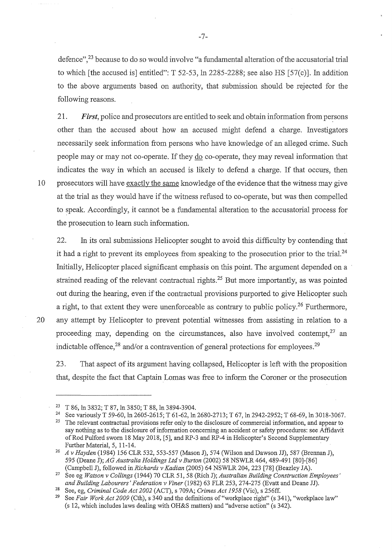defence",23 because to do so would involve "a fundamental alteration of the accusatorial trial to which [the accused is] entitled": T 52-53, In 2285-2288; see also HS [57(c)]. In addition to the above arguments based on authority, that submission should be rejected for the following reasons.

21. *First,* police and prosecutors are entitled to seek and obtain information from persons other than the accused about how an accused might defend a charge. Investigators necessarily seek information from persons who have knowledge of an alleged crime. Such people may or may not co-operate. If they do co-operate, they may reveal information that indicates the way in which an accused is likely to defend a charge. If that occurs, then 10 prosecutors will have exactly the same knowledge of the evidence that the witness may give at the trial as they would have if the witness refused to co-operate, but was then compelled to speak. Accordingly, it cannot be a fundamental alteration to the accusatorial process for the prosecution to learn such information.

22. In its oral submissions Helicopter sought to avoid this difficulty by contending that it had a right to prevent its employees from speaking to the prosecution prior to the trial.<sup>24</sup> Initially, Helicopter placed significant emphasis on this point. The argument depended on a strained reading of the relevant contractual rights.<sup>25</sup> But more importantly, as was pointed out during the hearing, even if the contractual provisions purported to give Helicopter such a right, to that extent they were unenforceable as contrary to public policy.<sup>26</sup> Furthermore, 20 any attempt by Helicopter to prevent potential witnesses from assisting in relation to a proceeding may, depending on the circumstances, also have involved contempt,  $27$  an indictable offence,  $^{28}$  and/or a contravention of general protections for employees.  $^{29}$ 

23. That aspect of its argument having collapsed, Helicopter is left with the proposition that, despite the fact that Captain Lomas was free to inform the Coroner or the prosecution

-7-

<sup>&</sup>lt;sup>23</sup> T 86, ln 3832; T 87, ln 3850; T 88, ln 3894-3904.<br><sup>24</sup> See variously T 59-60, ln 2605-2615; T 61-62, ln 2680-2713; T 67, ln 2942-2952; T 68-69, ln 3018-3067.<br><sup>25</sup> The relevant contractual provisions refer only to the

say nothing as to the disclosure of information concerning an accident or safety procedures: see Affidavit of Rod Pulford sworn 18 May 2018, [5], and RP-3 and RP-4 in Helicopter's Second Supplementary Further Material, 5, 11-14.

<sup>26</sup>*A v Hayden* (1984) 156 CLR 532, 553-557 (Mason J), 574 (Wilson and Dawson JJ), 587 (Brennan J), 595 (Deane J); *AG Australia Holdings Ltd v Burton* (2002) 58 NSWLR 464, 489-491 [80]-[86] (Campbell J), followed in *Richards v Kadian* (2005) 64 NSWLR 204, 223 [78] (Beazley JA).

<sup>27</sup>See eg *Watson v Collings* (1944) 70 CLR 51, 58 (Rich J); *Australian Building Construction Employees' and Building Labourers' Federation v Viner* (1982) 63 FLR 253, 274-275 (Evatt and Deane JJ).

<sup>28</sup> See, eg, *Criminal Code Act 2002* (ACT), s 709A; *Crimes Act 1958* (Vic), s 256ff.

<sup>29</sup> See *Fair Work Act 2009* (Cth), s 340 and the definitions of"workplace right" (s 341), "workplace law'' (s 12, which includes laws dealing with OH&S matters) and "adverse action" (s 342).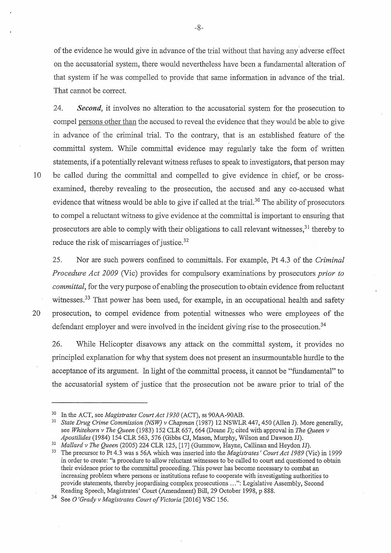of the evidence he would give in advance of the trial without that having any adverse effect on the accusatorial system, there would nevertheless have been a fundamental alteration of that system if he was compelled to provide that same information in advance of the trial. That cannot be correct.

24. *Second,* it involves no alteration to the accusatorial system for the prosecution to compel persons other than the accused to reveal the evidence that they would be able to give in advance of the criminal trial. To the contrary, that is an established feature of the committal system. While committal evidence may regularly take the form of written statements, if a potentially relevant witness refuses to speak to investigators, that person may 10 be called during the committal and compelled to give evidence in chief, or be crossexamined, thereby revealing to the prosecution, the accused and any co-accused what evidence that witness would be able to give if called at the trial.<sup>30</sup> The ability of prosecutors to compel a reluctant witness to give evidence at the committal is important to ensuring that prosecutors are able to comply with their obligations to call relevant witnesses,  $31$  thereby to reduce the risk of miscarriages of justice. 32

25. Nor are such powers confined to committals. For example, Pt 4.3 of the *Criminal Procedure Act 2009* (Vic) provides for compulsory examinations by prosecutors *prior to committal,* for the very purpose of enabling the prosecution to obtain evidence from reluctant witnesses.<sup>33</sup> That power has been used, for example, in an occupational health and safety 20 prosecution, to compel evidence from potential witnesses who were employees of the defendant employer and were involved in the incident giving rise to the prosecution.<sup>34</sup>

26. While Helicopter disavows any attack on the committal system, it provides no principled explanation for why that system does not present an insurmountable hurdle to the acceptance of its argument. fu light of the committal process, it cannot be "fundamental" to the accusatorial system of justice that the prosecution not be aware prior to trial of the

<sup>30</sup> In the ACT, see *Magistrates Court Act 1930* (ACT), ss 90AA-90AB. 31 *State Drug Crime Commission (NSW) v Chapman* (1987) 12 NSWLR 447, 450 (Allen J). More generally, see *Whitehorn v The Queen* (1983) 152 CLR 657,664 (Deane J); cited with approval in *The Queen v* 

*Apostilides* (1984) 154 CLR 563, 576 (Gibbs CJ, Mason, Murphy, Wilson and Dawson JJ).<br><sup>32</sup> *Mallard v The Queen* (2005) 224 CLR 125, [17] (Gummow, Hayne, Callinan and Heydon JJ).<br><sup>33</sup> The precursor to Pt 4.3 was s 56A whi in order to create: "a procedure to allow reluctant witnesses to be called to court and questioned to obtain their evidence prior to the committal proceeding. This power has become necessary to combat an increasing problem where persons or institutions refuse to cooperate with investigating authorities to provide statements, thereby jeopardising complex prosecutions ... ": Legislative Assembly, Second Reading Speech, Magistrates' Court (Amendment) Bill, 29 October 1998, p 888.

<sup>34</sup> See O *'Grady v Magistrates Court of Victoria* [2016] VSC 156.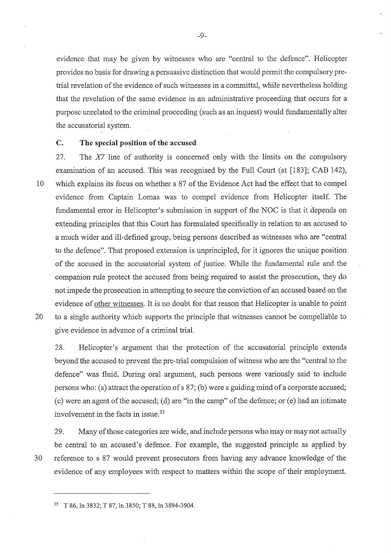evidence that may be given by witnesses who are "central to the defence". Helicopter provides no basis for drawing a persuasive distinction that would permit the compulsory pretrial revelation of the evidence of such witnesses in a committal, while nevertheless holding that the revelation of the same evidence in an administrative proceeding that occurs for a purpose unrelated to the criminal proceeding (such as an inquest) would fundamentally alter the accusatorial system.

## **C. The special position of the accused**

27. The *X7* line of authority is concerned only with the limits on the compulsory examination of an accused. This was recognised by the Full Court (at [183]; CAB 142), 10 which explains its focus on whether s 87 of the Evidence Act had the effect that to compel evidence from Captain Lomas was to compel evidence from Helicopter itself. The fundamental error in Helicopter's submission in support of the NOC is that it depends on extending principles that this Court has formulated specifically in relation to an accused to a much wider and ill-defined group, being persons described as witnesses who are "central to the defence". That proposed extension is unprincipled, for it ignores the unique position of the accused in the accusatorial system of justice. While the fundamental rule and the companion rule protect the accused from being required to assist the prosecution, they do not impede the prosecution in attempting to secure the conviction of an accused based on the evidence of other witnesses. It is no doubt for that reason that Helicopter is unable to point 20 to a single authority which supports the principle that witnesses cannot be compellable to

28. Helicopter's argument that the protection of the accusatorial principle extends beyond the accused to prevent the pre-trial compulsion of witness who are the "central to the defence" was fluid. During oral argument, such persons were variously said to include persons who: (a) attract the operation of s 87; (b) were a guiding mind of a corporate accused;

(c) were an agent of the accused; (d) are "in the camp" of the defence; or (e) had an intimate involvement in the facts in issue.<sup>35</sup>

29. Many of those categories are wide, and include persons who may or may not actually be central to an accused's defence. For example, the suggested principle as applied by 30 reference to s 87 would prevent prosecutors from having any advance knowledge of the evidence of any employees with respect to matters within the scope of their employment.

give evidence in advance of a criminal trial.

<sup>35</sup> T 86, In 3832; T 87, In 3850; T 88, ln 3894-3904.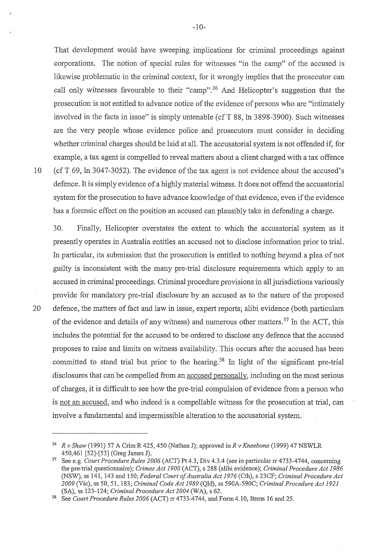That development would have sweeping implications for criminal proceedings against corporations. The notion of special rules for witnesses "in the camp" of the accused is likewise problematic in the criminal context, for it wrongly implies that the prosecutor can call only witnesses favourable to their "camp".<sup>36</sup> And Helicopter's suggestion that the prosecution is not entitled to advance notice of the evidence of persons who are "intimately involved in the facts in issue" is simply untenable (cf T  $88$ , ln  $3898-3900$ ). Such witnesses are the very people whose evidence police and prosecutors must consider in deciding whether criminal charges should be laid at all. The accusatorial system is not offended if, for example, a tax agent is compelled to reveal matters about a client charged with a tax offence 10 (cf T 69, In 3047-3052). The evidence of the tax agent is not evidence about the accused's defence. It is simply evidence of a highly material witness. It does not offend the accusatorial system for the prosecution to have advance knowledge of that evidence, even if the evidence has a forensic effect on the position an accused can plausibly take in defending a charge.

30. Finally, Helicopter overstates the extent to which the accusatorial system as it presently operates in Australia entitles an accused not to disclose information prior to trial. In particular, its submission that the prosecution is entitled to nothing beyond a plea of not guilty is inconsistent with the many pre-trial disclosure requirements which apply to an accused in criminal proceedings. Criminal procedure provisions in all jurisdictions variously provide for mandatory pre-trial disclosure by an accused as to the nature of the proposed 20 defence, the matters of fact and law in issue, expert reports; alibi evidence (both particulars of the evidence and details of any witness) and numerous other matters.<sup>37</sup> In the ACT, this includes the potential for the accused to be ordered to disclose any defence that the accused proposes to raise and limits on witness availability. This occurs after the accused has been committed to stand trial but prior to the hearing.<sup>38</sup> In light of the significant pre-trial disclosures that can be compelled from an accused personally, including on the most serious of charges, it is difficult to see how the pre-trial compulsion of evidence from a person who is not an accused, and who indeed is a compellable witness for the prosecution at trial, can involve a fundamental and impermissible alteration to the accusatorial system.

-10-

<sup>36</sup>*R v Shaw* (1991) 57 A CrimR 425,450 (Nathan J); approved inR *v Kneebone* (1999) 47 NSWLR 450,461 [52]-[53] (Greg James J). 37 See e.g. *Court Procedure Rules 2006* (ACT) Pt 4.3, Div 4.3.4 (see in particular rr 4733-4744, concerning

the pre-trial\_questionnaire); *Crimes Act 1900* (ACT), s 288 (alibi evidence); *Criminal Procedure Act 1986*  (NSW), ss 141, 143 and 150; *Federal Court of Australia Act 1976* (Cth), s 23CF; *Criminal Procedure Act 2009* (Vic), ss 50, 51,183; *Criminal Code Act 1989* (Qld), ss 590A-590C; *Criminal Procedure Act 1921* 

See *Court Procedure Rules 2006* (ACT) rr 4733-4744, and Form 4.10, Items 16 and 25.